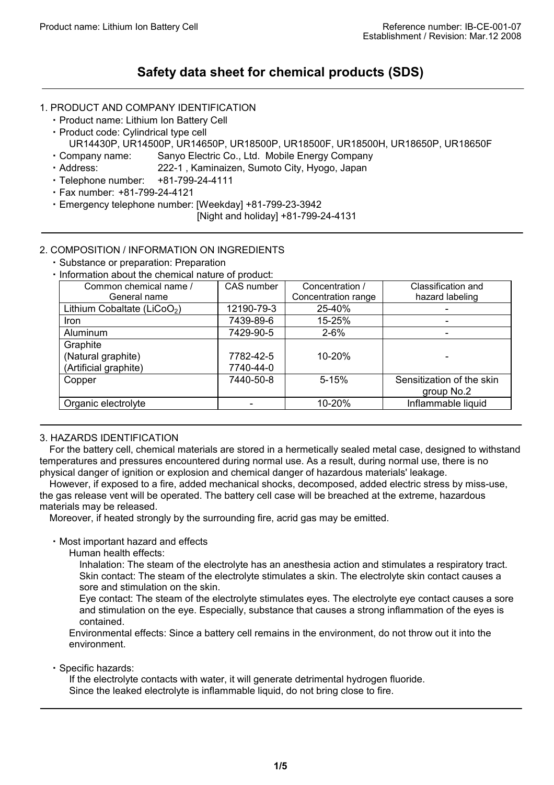# **Safety data sheet for chemical products (SDS)**

### 1. PRODUCT AND COMPANY IDENTIFICATION

- ・Product name: Lithium Ion Battery Cell
- ・Product code: Cylindrical type cell
- UR14430P, UR14500P, UR14650P, UR18500P, UR18500F, UR18500H, UR18650P, UR18650F
- ・Company name: Sanyo Electric Co., Ltd. Mobile Energy Company
- ・Address: 222-1 , Kaminaizen, Sumoto City, Hyogo, Japan
- ・Telephone number: +81-799-24-4111
- ・Fax number: +81-799-24-4121
- ・Emergency telephone number: [Weekday] +81-799-23-3942
	- [Night and holiday] +81-799-24-4131

### 2. COMPOSITION / INFORMATION ON INGREDIENTS

- ・Substance or preparation: Preparation
- ・Information about the chemical nature of product:

| Common chemical name /                  | CAS number | Concentration /     | Classification and        |
|-----------------------------------------|------------|---------------------|---------------------------|
| General name                            |            | Concentration range | hazard labeling           |
| Lithium Cobaltate (LiCoO <sub>2</sub> ) | 12190-79-3 | 25-40%              |                           |
| <b>Iron</b>                             | 7439-89-6  | 15-25%              |                           |
| Aluminum                                | 7429-90-5  | $2 - 6%$            |                           |
| Graphite                                |            |                     |                           |
| (Natural graphite)                      | 7782-42-5  | 10-20%              |                           |
| (Artificial graphite)                   | 7740-44-0  |                     |                           |
| Copper                                  | 7440-50-8  | $5 - 15%$           | Sensitization of the skin |
|                                         |            |                     | group No.2                |
| Organic electrolyte                     |            | 10-20%              | Inflammable liquid        |

### 3. HAZARDS IDENTIFICATION

For the battery cell, chemical materials are stored in a hermetically sealed metal case, designed to withstand temperatures and pressures encountered during normal use. As a result, during normal use, there is no physical danger of ignition or explosion and chemical danger of hazardous materials' leakage.

However, if exposed to a fire, added mechanical shocks, decomposed, added electric stress by miss-use, the gas release vent will be operated. The battery cell case will be breached at the extreme, hazardous materials may be released.

Moreover, if heated strongly by the surrounding fire, acrid gas may be emitted.

#### ・Most important hazard and effects

Human health effects:

Inhalation: The steam of the electrolyte has an anesthesia action and stimulates a respiratory tract. Skin contact: The steam of the electrolyte stimulates a skin. The electrolyte skin contact causes a sore and stimulation on the skin.

Eye contact: The steam of the electrolyte stimulates eyes. The electrolyte eye contact causes a sore and stimulation on the eye. Especially, substance that causes a strong inflammation of the eyes is contained.

Environmental effects: Since a battery cell remains in the environment, do not throw out it into the environment.

・Specific hazards:

If the electrolyte contacts with water, it will generate detrimental hydrogen fluoride. Since the leaked electrolyte is inflammable liquid, do not bring close to fire.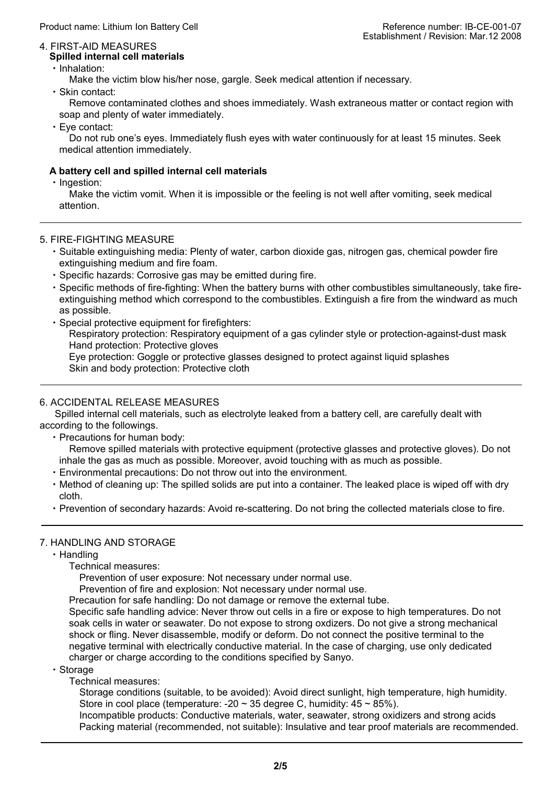#### 4. FIRST-AID MEASURES **Spilled internal cell materials**

・Inhalation:

Make the victim blow his/her nose, gargle. Seek medical attention if necessary.

・Skin contact:

Remove contaminated clothes and shoes immediately. Wash extraneous matter or contact region with soap and plenty of water immediately.

・Eye contact:

Do not rub one's eyes. Immediately flush eyes with water continuously for at least 15 minutes. Seek medical attention immediately.

### **A battery cell and spilled internal cell materials**

・Ingestion:

Make the victim vomit. When it is impossible or the feeling is not well after vomiting, seek medical attention.

### 5. FIRE-FIGHTING MEASURE

- ・Suitable extinguishing media: Plenty of water, carbon dioxide gas, nitrogen gas, chemical powder fire extinguishing medium and fire foam.
- ・Specific hazards: Corrosive gas may be emitted during fire.
- ・Specific methods of fire-fighting: When the battery burns with other combustibles simultaneously, take fireextinguishing method which correspond to the combustibles. Extinguish a fire from the windward as much as possible.
- ・Special protective equipment for firefighters:

Respiratory protection: Respiratory equipment of a gas cylinder style or protection-against-dust mask Hand protection: Protective gloves

Eye protection: Goggle or protective glasses designed to protect against liquid splashes Skin and body protection: Protective cloth

### 6. ACCIDENTAL RELEASE MEASURES

 Spilled internal cell materials, such as electrolyte leaked from a battery cell, are carefully dealt with according to the followings.

・Precautions for human body:

Remove spilled materials with protective equipment (protective glasses and protective gloves). Do not inhale the gas as much as possible. Moreover, avoid touching with as much as possible.

- ・Environmental precautions: Do not throw out into the environment.
- ・Method of cleaning up: The spilled solids are put into a container. The leaked place is wiped off with dry cloth.
- ・Prevention of secondary hazards: Avoid re-scattering. Do not bring the collected materials close to fire.

### 7. HANDLING AND STORAGE

・Handling

Technical measures:

Prevention of user exposure: Not necessary under normal use.

Prevention of fire and explosion: Not necessary under normal use.

Precaution for safe handling: Do not damage or remove the external tube.

Specific safe handling advice: Never throw out cells in a fire or expose to high temperatures. Do not soak cells in water or seawater. Do not expose to strong oxdizers. Do not give a strong mechanical shock or fling. Never disassemble, modify or deform. Do not connect the positive terminal to the negative terminal with electrically conductive material. In the case of charging, use only dedicated charger or charge according to the conditions specified by Sanyo.

・Storage

Technical measures:

Storage conditions (suitable, to be avoided): Avoid direct sunlight, high temperature, high humidity. Store in cool place (temperature:  $-20 \sim 35$  degree C, humidity:  $45 \sim 85\%$ ).

Incompatible products: Conductive materials, water, seawater, strong oxidizers and strong acids Packing material (recommended, not suitable): Insulative and tear proof materials are recommended.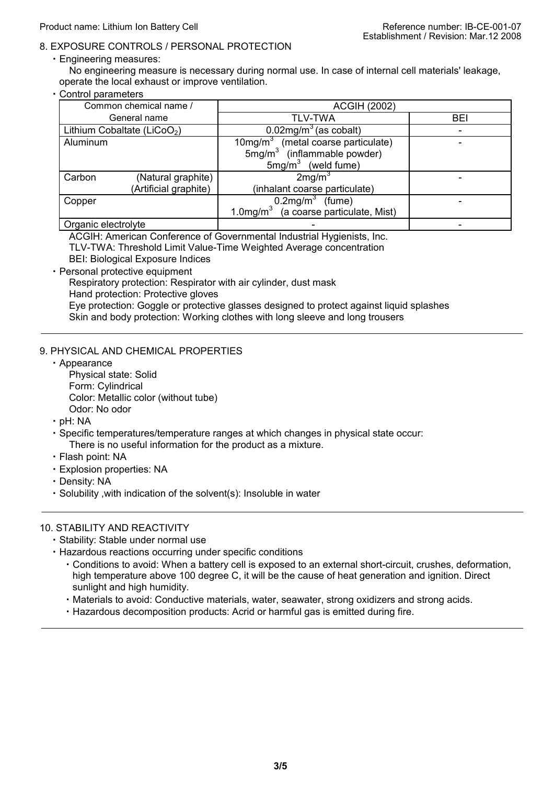### 8. EXPOSURE CONTROLS / PERSONAL PROTECTION

・Engineering measures:

No engineering measure is necessary during normal use. In case of internal cell materials' leakage, operate the local exhaust or improve ventilation.

・Control parameters

| Common chemical name /                  | <b>ACGIH (2002)</b>                      |            |  |
|-----------------------------------------|------------------------------------------|------------|--|
| General name                            | TLV-TWA                                  | <b>BEI</b> |  |
| Lithium Cobaltate (LiCoO <sub>2</sub> ) | $0.02$ mg/m <sup>3</sup> (as cobalt)     |            |  |
| Aluminum                                | $10mg/m3$ (metal coarse particulate)     |            |  |
|                                         | $5mg/m3$ (inflammable powder)            |            |  |
|                                         | $5mg/m3$ (weld fume)                     |            |  |
| Carbon<br>(Natural graphite)            | 2mg/m <sup>3</sup>                       |            |  |
| (Artificial graphite)                   | (inhalant coarse particulate)            |            |  |
| Copper                                  | $0.2$ mg/m <sup>3</sup> (fume)           |            |  |
|                                         | 1.0mg/ $m3$ (a coarse particulate, Mist) |            |  |
| Organic electrolyte                     |                                          |            |  |

ACGIH: American Conference of Governmental Industrial Hygienists, Inc.

TLV-TWA: Threshold Limit Value-Time Weighted Average concentration

BEI: Biological Exposure Indices

・Personal protective equipment

Respiratory protection: Respirator with air cylinder, dust mask

Hand protection: Protective gloves

Eye protection: Goggle or protective glasses designed to protect against liquid splashes

Skin and body protection: Working clothes with long sleeve and long trousers

### 9. PHYSICAL AND CHEMICAL PROPERTIES

- ・Appearance Physical state: Solid Form: Cylindrical Color: Metallic color (without tube) Odor: No odor
- ・pH: NA
- ・Specific temperatures/temperature ranges at which changes in physical state occur: There is no useful information for the product as a mixture.
- ・Flash point: NA
- ・Explosion properties: NA
- ・Density: NA
- ・Solubility ,with indication of the solvent(s): Insoluble in water

### 10. STABILITY AND REACTIVITY

- ・Stability: Stable under normal use
- ・Hazardous reactions occurring under specific conditions
	- ・Conditions to avoid: When a battery cell is exposed to an external short-circuit, crushes, deformation, high temperature above 100 degree C, it will be the cause of heat generation and ignition. Direct sunlight and high humidity.
	- ・Materials to avoid: Conductive materials, water, seawater, strong oxidizers and strong acids.
	- ・Hazardous decomposition products: Acrid or harmful gas is emitted during fire.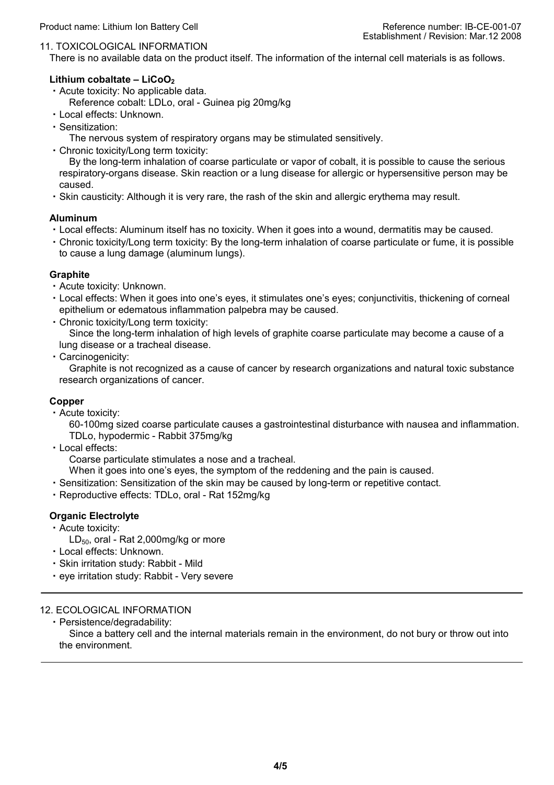#### 11. TOXICOLOGICAL INFORMATION

There is no available data on the product itself. The information of the internal cell materials is as follows.

#### Lithium cobaltate – LiCoO<sub>2</sub>

- ・Acute toxicity: No applicable data.
	- Reference cobalt: LDLo, oral Guinea pig 20mg/kg
- ・Local effects: Unknown.
- ・Sensitization:
	- The nervous system of respiratory organs may be stimulated sensitively.
- ・Chronic toxicity/Long term toxicity:

By the long-term inhalation of coarse particulate or vapor of cobalt, it is possible to cause the serious respiratory-organs disease. Skin reaction or a lung disease for allergic or hypersensitive person may be caused.

・Skin causticity: Although it is very rare, the rash of the skin and allergic erythema may result.

#### **Aluminum**

- ・Local effects: Aluminum itself has no toxicity. When it goes into a wound, dermatitis may be caused.
- ・Chronic toxicity/Long term toxicity: By the long-term inhalation of coarse particulate or fume, it is possible to cause a lung damage (aluminum lungs).

#### **Graphite**

- ・Acute toxicity: Unknown.
- ・Local effects: When it goes into one's eyes, it stimulates one's eyes; conjunctivitis, thickening of corneal epithelium or edematous inflammation palpebra may be caused.
- ・Chronic toxicity/Long term toxicity:

Since the long-term inhalation of high levels of graphite coarse particulate may become a cause of a lung disease or a tracheal disease.

・Carcinogenicity:

Graphite is not recognized as a cause of cancer by research organizations and natural toxic substance research organizations of cancer.

#### **Copper**

・Acute toxicity:

60-100mg sized coarse particulate causes a gastrointestinal disturbance with nausea and inflammation. TDLo, hypodermic - Rabbit 375mg/kg

・Local effects:

Coarse particulate stimulates a nose and a tracheal.

- When it goes into one's eyes, the symptom of the reddening and the pain is caused.
- ・Sensitization: Sensitization of the skin may be caused by long-term or repetitive contact.
- ・Reproductive effects: TDLo, oral Rat 152mg/kg

### **Organic Electrolyte**

- ・Acute toxicity:
	- $LD_{50}$ , oral Rat 2,000mg/kg or more
- ・Local effects: Unknown.
- ・Skin irritation study: Rabbit Mild
- ・eye irritation study: Rabbit Very severe

### 12. ECOLOGICAL INFORMATION

・Persistence/degradability:

Since a battery cell and the internal materials remain in the environment, do not bury or throw out into the environment.